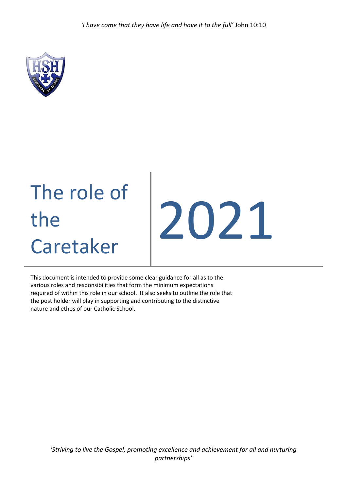*'I have come that they have life and have it to the full'* John 10:10



# The role of the Caretaker

# 2021

This document is intended to provide some clear guidance for all as to the various roles and responsibilities that form the minimum expectations required of within this role in our school. It also seeks to outline the role that the post holder will play in supporting and contributing to the distinctive nature and ethos of our Catholic School.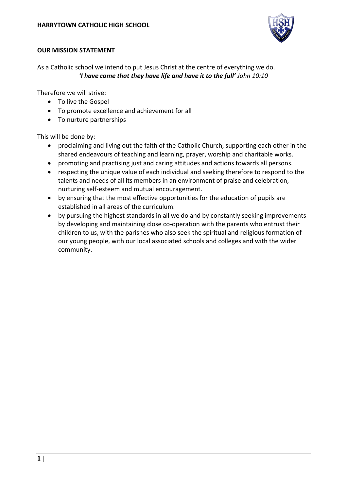

### **OUR MISSION STATEMENT**

As a Catholic school we intend to put Jesus Christ at the centre of everything we do. *'I have come that they have life and have it to the full' John 10:10*

Therefore we will strive:

- To live the Gospel
- To promote excellence and achievement for all
- To nurture partnerships

This will be done by:

- proclaiming and living out the faith of the Catholic Church, supporting each other in the shared endeavours of teaching and learning, prayer, worship and charitable works.
- promoting and practising just and caring attitudes and actions towards all persons.
- respecting the unique value of each individual and seeking therefore to respond to the talents and needs of all its members in an environment of praise and celebration, nurturing self-esteem and mutual encouragement.
- by ensuring that the most effective opportunities for the education of pupils are established in all areas of the curriculum.
- by pursuing the highest standards in all we do and by constantly seeking improvements by developing and maintaining close co-operation with the parents who entrust their children to us, with the parishes who also seek the spiritual and religious formation of our young people, with our local associated schools and colleges and with the wider community.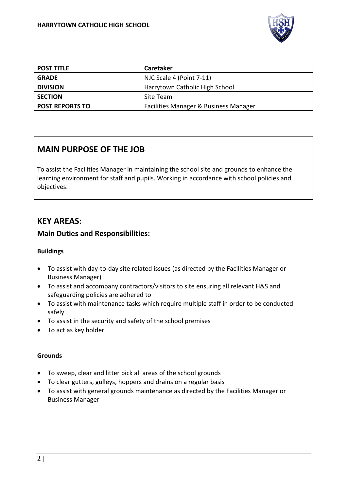

| <b>POST TITLE</b>      | <b>Caretaker</b>                      |
|------------------------|---------------------------------------|
| <b>GRADE</b>           | NJC Scale 4 (Point 7-11)              |
| <b>DIVISION</b>        | Harrytown Catholic High School        |
| <b>SECTION</b>         | Site Team                             |
| <b>POST REPORTS TO</b> | Facilities Manager & Business Manager |

# **MAIN PURPOSE OF THE JOB**

To assist the Facilities Manager in maintaining the school site and grounds to enhance the learning environment for staff and pupils. Working in accordance with school policies and objectives.

## **KEY AREAS:**

### **Main Duties and Responsibilities:**

### **Buildings**

- To assist with day-to-day site related issues (as directed by the Facilities Manager or Business Manager)
- To assist and accompany contractors/visitors to site ensuring all relevant H&S and safeguarding policies are adhered to
- To assist with maintenance tasks which require multiple staff in order to be conducted safely
- To assist in the security and safety of the school premises
- To act as key holder

### **Grounds**

- To sweep, clear and litter pick all areas of the school grounds
- To clear gutters, gulleys, hoppers and drains on a regular basis
- To assist with general grounds maintenance as directed by the Facilities Manager or Business Manager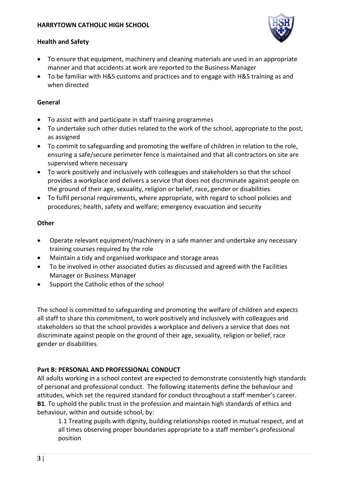

### **Health and Safety**

- To ensure that equipment, machinery and cleaning materials are used in an appropriate manner and that accidents at work are reported to the Business Manager
- To be familiar with H&S customs and practices and to engage with H&S training as and when directed

### **General**

- To assist with and participate in staff training programmes
- To undertake such other duties related to the work of the school, appropriate to the post, as assigned
- To commit to safeguarding and promoting the welfare of children in relation to the role, ensuring a safe/secure perimeter fence is maintained and that all contractors on site are supervised where necessary
- To work positively and inclusively with colleagues and stakeholders so that the school provides a workplace and delivers a service that does not discriminate against people on the ground of their age, sexuality, religion or belief, race, gender or disabilities
- To fulfil personal requirements, where appropriate, with regard to school policies and procedures; health, safety and welfare; emergency evacuation and security

### **Other**

- Operate relevant equipment/machinery in a safe manner and undertake any necessary training courses required by the role
- Maintain a tidy and organised workspace and storage areas
- To be involved in other associated duties as discussed and agreed with the Facilities Manager or Business Manager
- Support the Catholic ethos of the school

The school is committed to safeguarding and promoting the welfare of children and expects all staff to share this commitment, to work positively and inclusively with colleagues and stakeholders so that the school provides a workplace and delivers a service that does not discriminate against people on the ground of their age, sexuality, religion or belief, race gender or disabilities.

### **Part B: PERSONAL AND PROFESSIONAL CONDUCT**

All adults working in a school context are expected to demonstrate consistently high standards of personal and professional conduct. The following statements define the behaviour and attitudes, which set the required standard for conduct throughout a staff member's career. **B1**. To uphold the public trust in the profession and maintain high standards of ethics and behaviour, within and outside school, by:

1.1 Treating pupils with dignity, building relationships rooted in mutual respect, and at all times observing proper boundaries appropriate to a staff member's professional position